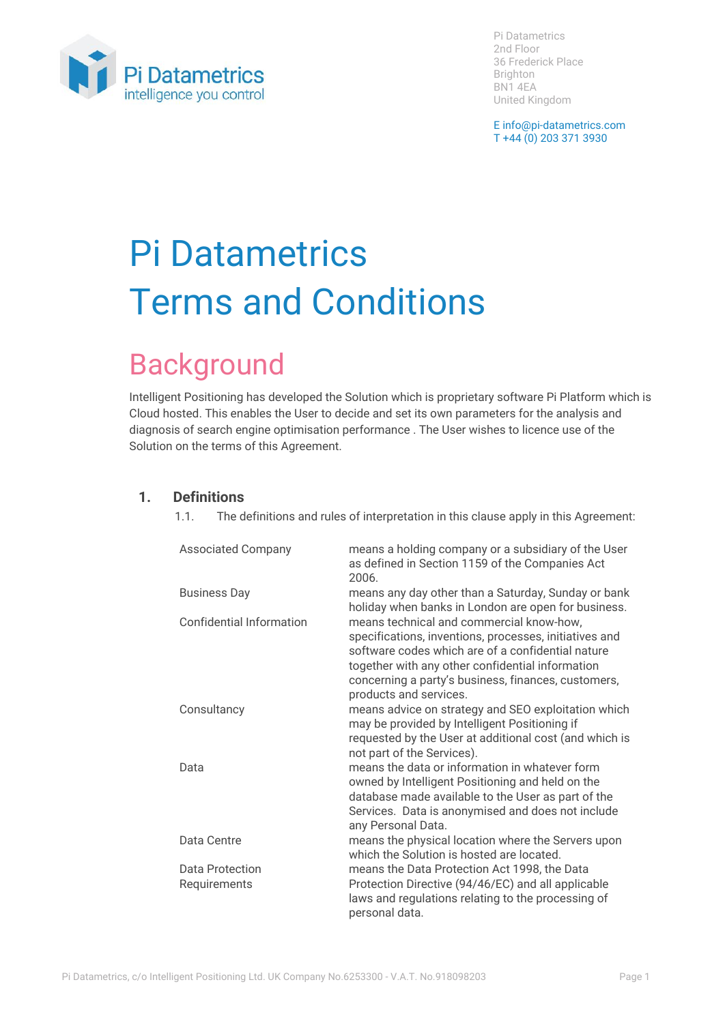

Pi Datametrics 2nd Floor 36 Frederick Place Brighton BN1 4EA United Kingdom

E info@pi-datametrics.com T +44 (0) 203 371 3930

# Pi Datametrics Terms and Conditions

# Background

Intelligent Positioning has developed the Solution which is proprietary software Pi Platform which is Cloud hosted. This enables the User to decide and set its own parameters for the analysis and diagnosis of search engine optimisation performance . The User wishes to licence use of the Solution on the terms of this Agreement.

## **1. Definitions**

1.1. The definitions and rules of interpretation in this clause apply in this Agreement:

| <b>Associated Company</b>       | means a holding company or a subsidiary of the User<br>as defined in Section 1159 of the Companies Act<br>2006.                                                                                                                                                                              |
|---------------------------------|----------------------------------------------------------------------------------------------------------------------------------------------------------------------------------------------------------------------------------------------------------------------------------------------|
| <b>Business Day</b>             | means any day other than a Saturday, Sunday or bank<br>holiday when banks in London are open for business.                                                                                                                                                                                   |
| <b>Confidential Information</b> | means technical and commercial know-how,<br>specifications, inventions, processes, initiatives and<br>software codes which are of a confidential nature<br>together with any other confidential information<br>concerning a party's business, finances, customers,<br>products and services. |
| Consultancy                     | means advice on strategy and SEO exploitation which<br>may be provided by Intelligent Positioning if<br>requested by the User at additional cost (and which is<br>not part of the Services).                                                                                                 |
| Data                            | means the data or information in whatever form<br>owned by Intelligent Positioning and held on the<br>database made available to the User as part of the<br>Services. Data is anonymised and does not include<br>any Personal Data.                                                          |
| Data Centre                     | means the physical location where the Servers upon<br>which the Solution is hosted are located.                                                                                                                                                                                              |
| Data Protection<br>Requirements | means the Data Protection Act 1998, the Data<br>Protection Directive (94/46/EC) and all applicable<br>laws and regulations relating to the processing of<br>personal data.                                                                                                                   |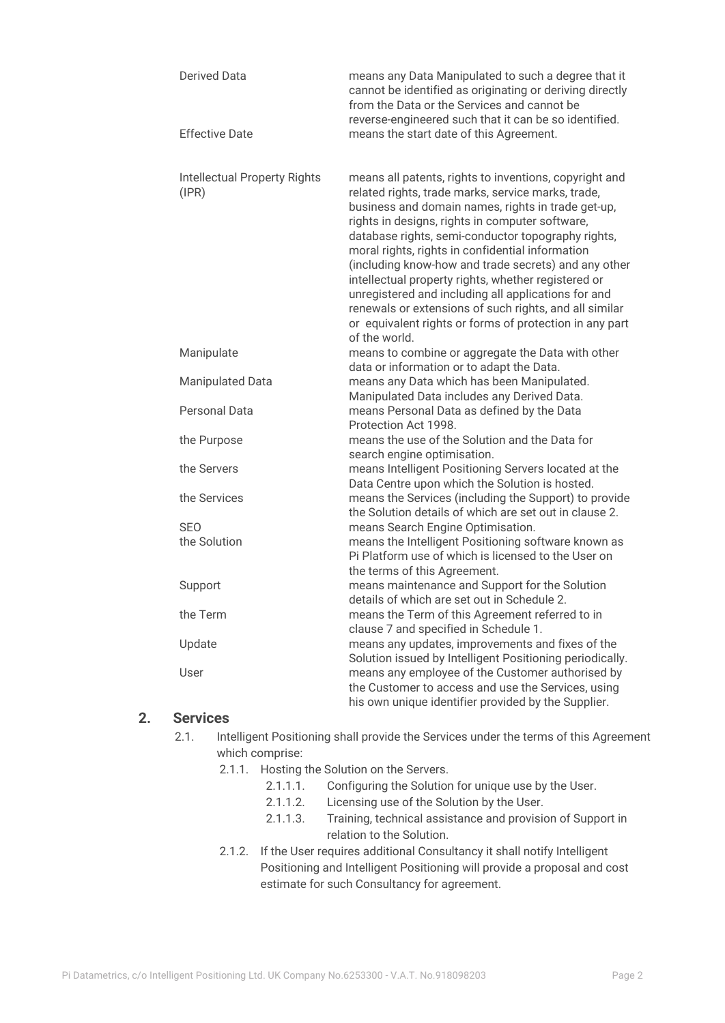| <b>Derived Data</b>                          | means any Data Manipulated to such a degree that it<br>cannot be identified as originating or deriving directly<br>from the Data or the Services and cannot be<br>reverse-engineered such that it can be so identified.                                                                                                                                                                                                                                                                                                                                                                                                                     |
|----------------------------------------------|---------------------------------------------------------------------------------------------------------------------------------------------------------------------------------------------------------------------------------------------------------------------------------------------------------------------------------------------------------------------------------------------------------------------------------------------------------------------------------------------------------------------------------------------------------------------------------------------------------------------------------------------|
| <b>Effective Date</b>                        | means the start date of this Agreement.                                                                                                                                                                                                                                                                                                                                                                                                                                                                                                                                                                                                     |
| <b>Intellectual Property Rights</b><br>(IPR) | means all patents, rights to inventions, copyright and<br>related rights, trade marks, service marks, trade,<br>business and domain names, rights in trade get-up,<br>rights in designs, rights in computer software,<br>database rights, semi-conductor topography rights,<br>moral rights, rights in confidential information<br>(including know-how and trade secrets) and any other<br>intellectual property rights, whether registered or<br>unregistered and including all applications for and<br>renewals or extensions of such rights, and all similar<br>or equivalent rights or forms of protection in any part<br>of the world. |
| Manipulate                                   | means to combine or aggregate the Data with other<br>data or information or to adapt the Data.                                                                                                                                                                                                                                                                                                                                                                                                                                                                                                                                              |
| <b>Manipulated Data</b>                      | means any Data which has been Manipulated.<br>Manipulated Data includes any Derived Data.                                                                                                                                                                                                                                                                                                                                                                                                                                                                                                                                                   |
| Personal Data                                | means Personal Data as defined by the Data<br>Protection Act 1998.                                                                                                                                                                                                                                                                                                                                                                                                                                                                                                                                                                          |
| the Purpose                                  | means the use of the Solution and the Data for<br>search engine optimisation.                                                                                                                                                                                                                                                                                                                                                                                                                                                                                                                                                               |
| the Servers                                  | means Intelligent Positioning Servers located at the<br>Data Centre upon which the Solution is hosted.                                                                                                                                                                                                                                                                                                                                                                                                                                                                                                                                      |
| the Services                                 | means the Services (including the Support) to provide<br>the Solution details of which are set out in clause 2.                                                                                                                                                                                                                                                                                                                                                                                                                                                                                                                             |
| <b>SEO</b>                                   | means Search Engine Optimisation.                                                                                                                                                                                                                                                                                                                                                                                                                                                                                                                                                                                                           |
| the Solution                                 | means the Intelligent Positioning software known as<br>Pi Platform use of which is licensed to the User on<br>the terms of this Agreement.                                                                                                                                                                                                                                                                                                                                                                                                                                                                                                  |
| Support                                      | means maintenance and Support for the Solution<br>details of which are set out in Schedule 2.                                                                                                                                                                                                                                                                                                                                                                                                                                                                                                                                               |
| the Term                                     | means the Term of this Agreement referred to in<br>clause 7 and specified in Schedule 1.                                                                                                                                                                                                                                                                                                                                                                                                                                                                                                                                                    |
| Update                                       | means any updates, improvements and fixes of the<br>Solution issued by Intelligent Positioning periodically.                                                                                                                                                                                                                                                                                                                                                                                                                                                                                                                                |
| User                                         | means any employee of the Customer authorised by<br>the Customer to access and use the Services, using<br>his own unique identifier provided by the Supplier.                                                                                                                                                                                                                                                                                                                                                                                                                                                                               |

#### **2. Services**

- 2.1. Intelligent Positioning shall provide the Services under the terms of this Agreement which comprise:
	- 2.1.1. Hosting the Solution on the Servers.
		- 2.1.1.1. Configuring the Solution for unique use by the User.
		- 2.1.1.2. Licensing use of the Solution by the User.
		- 2.1.1.3. Training, technical assistance and provision of Support in relation to the Solution.
	- 2.1.2. If the User requires additional Consultancy it shall notify Intelligent Positioning and Intelligent Positioning will provide a proposal and cost estimate for such Consultancy for agreement.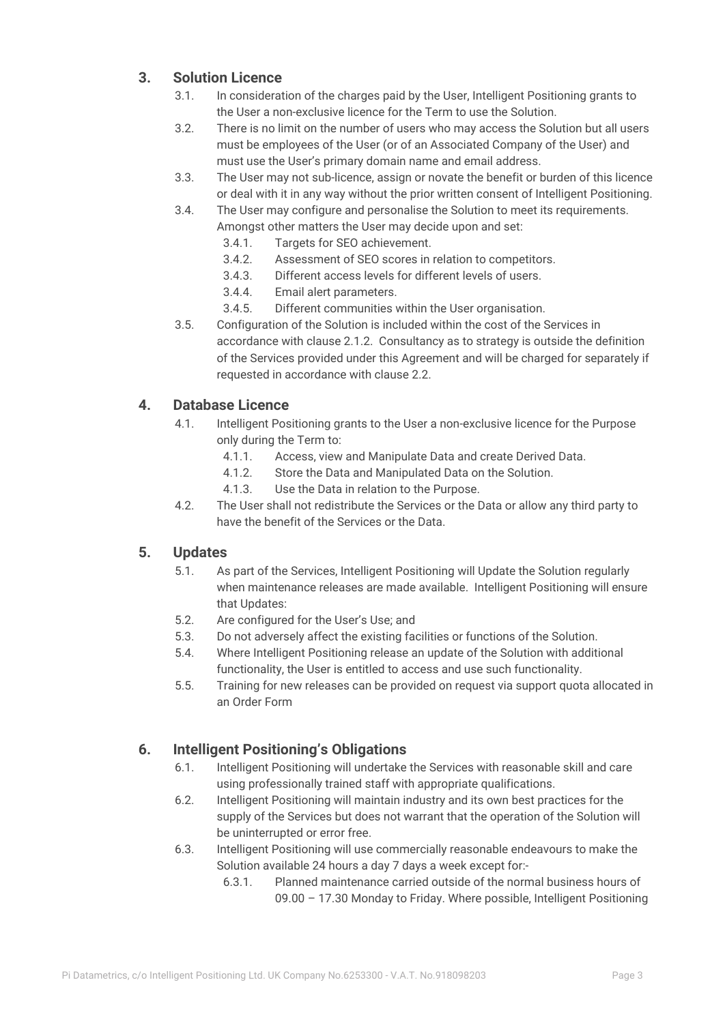# **3. Solution Licence**

- 3.1. In consideration of the charges paid by the User, Intelligent Positioning grants to the User a non-exclusive licence for the Term to use the Solution.
- 3.2. There is no limit on the number of users who may access the Solution but all users must be employees of the User (or of an Associated Company of the User) and must use the User's primary domain name and email address.
- 3.3. The User may not sub-licence, assign or novate the benefit or burden of this licence or deal with it in any way without the prior written consent of Intelligent Positioning.
- 3.4. The User may configure and personalise the Solution to meet its requirements. Amongst other matters the User may decide upon and set:
	- 3.4.1. Targets for SEO achievement.
	- 3.4.2. Assessment of SEO scores in relation to competitors.
	- 3.4.3. Different access levels for different levels of users.
	- 3.4.4. Email alert parameters.
	- 3.4.5. Different communities within the User organisation.
- 3.5. Configuration of the Solution is included within the cost of the Services in accordance with clause 2.1.2. Consultancy as to strategy is outside the definition of the Services provided under this Agreement and will be charged for separately if requested in accordance with clause 2.2.

## **4. Database Licence**

- 4.1. Intelligent Positioning grants to the User a non-exclusive licence for the Purpose only during the Term to:
	- 4.1.1. Access, view and Manipulate Data and create Derived Data.
	- 4.1.2. Store the Data and Manipulated Data on the Solution.
	- 4.1.3. Use the Data in relation to the Purpose.
- 4.2. The User shall not redistribute the Services or the Data or allow any third party to have the benefit of the Services or the Data.

# **5. Updates**

- 5.1. As part of the Services, Intelligent Positioning will Update the Solution regularly when maintenance releases are made available. Intelligent Positioning will ensure that Updates:
- 5.2. Are configured for the User's Use; and
- 5.3. Do not adversely affect the existing facilities or functions of the Solution.
- 5.4. Where Intelligent Positioning release an update of the Solution with additional functionality, the User is entitled to access and use such functionality.
- 5.5. Training for new releases can be provided on request via support quota allocated in an Order Form

# **6. Intelligent Positioning's Obligations**

- 6.1. Intelligent Positioning will undertake the Services with reasonable skill and care using professionally trained staff with appropriate qualifications.
- 6.2. Intelligent Positioning will maintain industry and its own best practices for the supply of the Services but does not warrant that the operation of the Solution will be uninterrupted or error free.
- 6.3. Intelligent Positioning will use commercially reasonable endeavours to make the Solution available 24 hours a day 7 days a week except for:-
	- 6.3.1. Planned maintenance carried outside of the normal business hours of 09.00 – 17.30 Monday to Friday. Where possible, Intelligent Positioning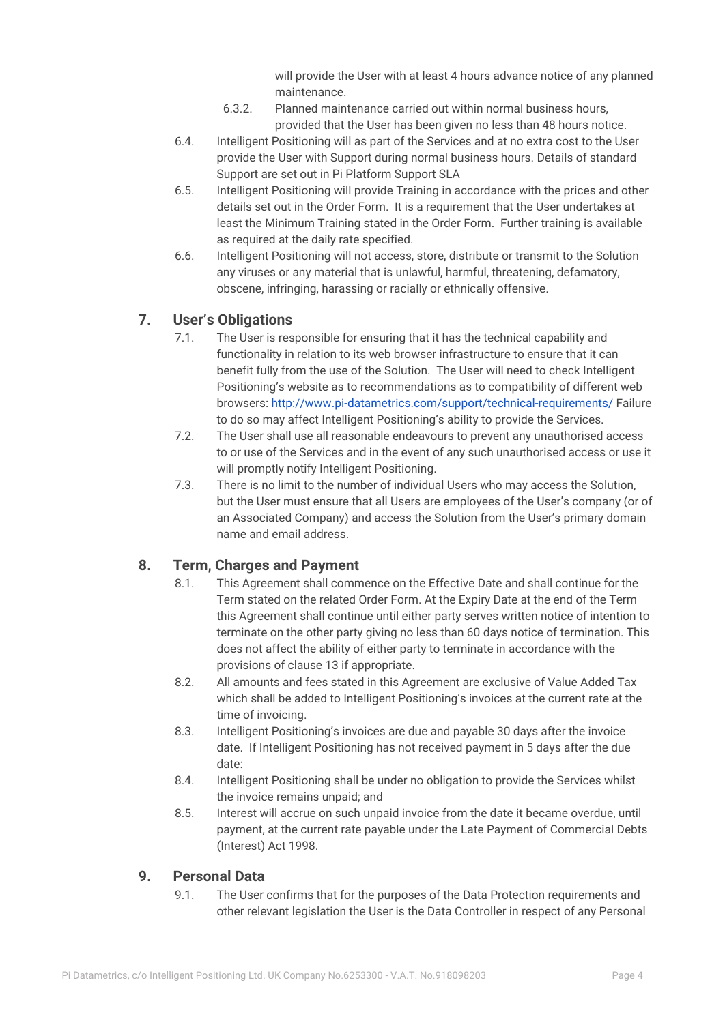will provide the User with at least 4 hours advance notice of any planned maintenance.

- 6.3.2. Planned maintenance carried out within normal business hours, provided that the User has been given no less than 48 hours notice.
- 6.4. Intelligent Positioning will as part of the Services and at no extra cost to the User provide the User with Support during normal business hours. Details of standard Support are set out in Pi Platform Support SLA
- 6.5. Intelligent Positioning will provide Training in accordance with the prices and other details set out in the Order Form. It is a requirement that the User undertakes at least the Minimum Training stated in the Order Form. Further training is available as required at the daily rate specified.
- 6.6. Intelligent Positioning will not access, store, distribute or transmit to the Solution any viruses or any material that is unlawful, harmful, threatening, defamatory, obscene, infringing, harassing or racially or ethnically offensive.

#### **7. User's Obligations**

- 7.1. The User is responsible for ensuring that it has the technical capability and functionality in relation to its web browser infrastructure to ensure that it can benefit fully from the use of the Solution. The User will need to check Intelligent Positioning's website as to recommendations as to compatibility of different web browsers: <http://www.pi-datametrics.com/support/technical-requirements/> Failure to do so may affect Intelligent Positioning's ability to provide the Services.
- 7.2. The User shall use all reasonable endeavours to prevent any unauthorised access to or use of the Services and in the event of any such unauthorised access or use it will promptly notify Intelligent Positioning.
- 7.3. There is no limit to the number of individual Users who may access the Solution, but the User must ensure that all Users are employees of the User's company (or of an Associated Company) and access the Solution from the User's primary domain name and email address.

# **8. Term, Charges and Payment**

- 8.1. This Agreement shall commence on the Effective Date and shall continue for the Term stated on the related Order Form. At the Expiry Date at the end of the Term this Agreement shall continue until either party serves written notice of intention to terminate on the other party giving no less than 60 days notice of termination. This does not affect the ability of either party to terminate in accordance with the provisions of clause 13 if appropriate.
- 8.2. All amounts and fees stated in this Agreement are exclusive of Value Added Tax which shall be added to Intelligent Positioning's invoices at the current rate at the time of invoicing.
- 8.3. Intelligent Positioning's invoices are due and payable 30 days after the invoice date. If Intelligent Positioning has not received payment in 5 days after the due date:
- 8.4. Intelligent Positioning shall be under no obligation to provide the Services whilst the invoice remains unpaid; and
- 8.5. Interest will accrue on such unpaid invoice from the date it became overdue, until payment, at the current rate payable under the Late Payment of Commercial Debts (Interest) Act 1998.

#### **9. Personal Data**

9.1. The User confirms that for the purposes of the Data Protection requirements and other relevant legislation the User is the Data Controller in respect of any Personal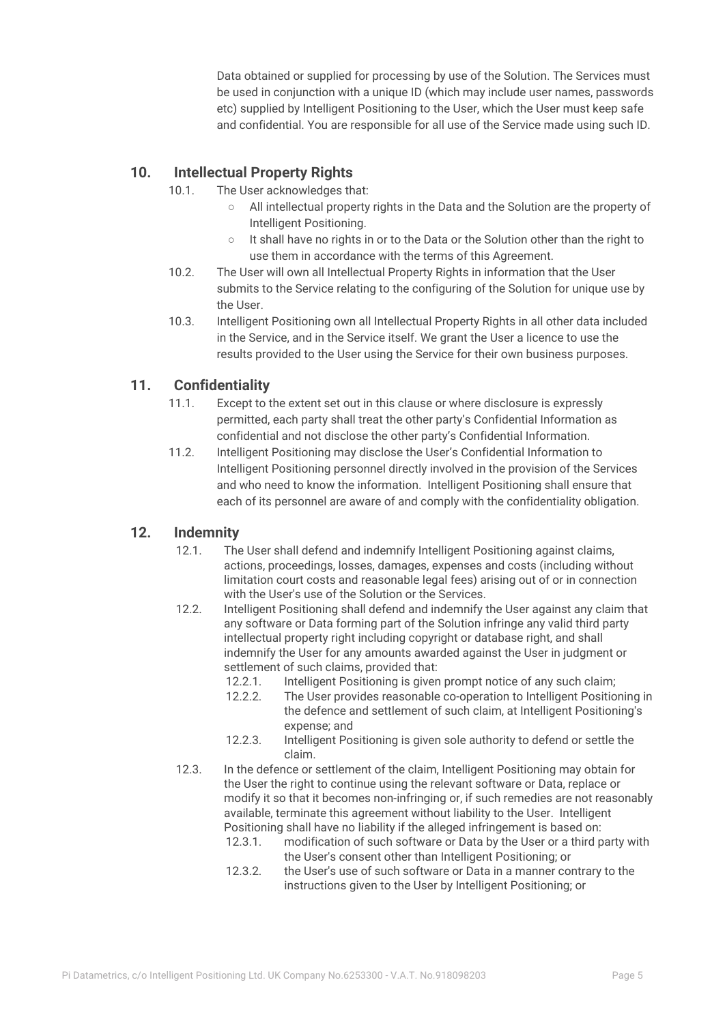Data obtained or supplied for processing by use of the Solution. The Services must be used in conjunction with a unique ID (which may include user names, passwords etc) supplied by Intelligent Positioning to the User, which the User must keep safe and confidential. You are responsible for all use of the Service made using such ID.

# **10. Intellectual Property Rights**

- 10.1. The User acknowledges that:
	- All intellectual property rights in the Data and the Solution are the property of Intelligent Positioning.
	- It shall have no rights in or to the Data or the Solution other than the right to use them in accordance with the terms of this Agreement.
- 10.2. The User will own all Intellectual Property Rights in information that the User submits to the Service relating to the configuring of the Solution for unique use by the User.
- 10.3. Intelligent Positioning own all Intellectual Property Rights in all other data included in the Service, and in the Service itself. We grant the User a licence to use the results provided to the User using the Service for their own business purposes.

#### **11. Confidentiality**

- 11.1. Except to the extent set out in this clause or where disclosure is expressly permitted, each party shall treat the other party's Confidential Information as confidential and not disclose the other party's Confidential Information.
- 11.2. Intelligent Positioning may disclose the User's Confidential Information to Intelligent Positioning personnel directly involved in the provision of the Services and who need to know the information. Intelligent Positioning shall ensure that each of its personnel are aware of and comply with the confidentiality obligation.

#### **12. Indemnity**

- 12.1. The User shall defend and indemnify Intelligent Positioning against claims, actions, proceedings, losses, damages, expenses and costs (including without limitation court costs and reasonable legal fees) arising out of or in connection with the User's use of the Solution or the Services.
- 12.2. Intelligent Positioning shall defend and indemnify the User against any claim that any software or Data forming part of the Solution infringe any valid third party intellectual property right including copyright or database right, and shall indemnify the User for any amounts awarded against the User in judgment or settlement of such claims, provided that:
	- 12.2.1. Intelligent Positioning is given prompt notice of any such claim;
	- 12.2.2. The User provides reasonable co-operation to Intelligent Positioning in the defence and settlement of such claim, at Intelligent Positioning's expense; and
	- 12.2.3. Intelligent Positioning is given sole authority to defend or settle the claim.
- 12.3. In the defence or settlement of the claim, Intelligent Positioning may obtain for the User the right to continue using the relevant software or Data, replace or modify it so that it becomes non-infringing or, if such remedies are not reasonably available, terminate this agreement without liability to the User. Intelligent Positioning shall have no liability if the alleged infringement is based on:
	- 12.3.1. modification of such software or Data by the User or a third party with the User's consent other than Intelligent Positioning; or
	- 12.3.2. the User's use of such software or Data in a manner contrary to the instructions given to the User by Intelligent Positioning; or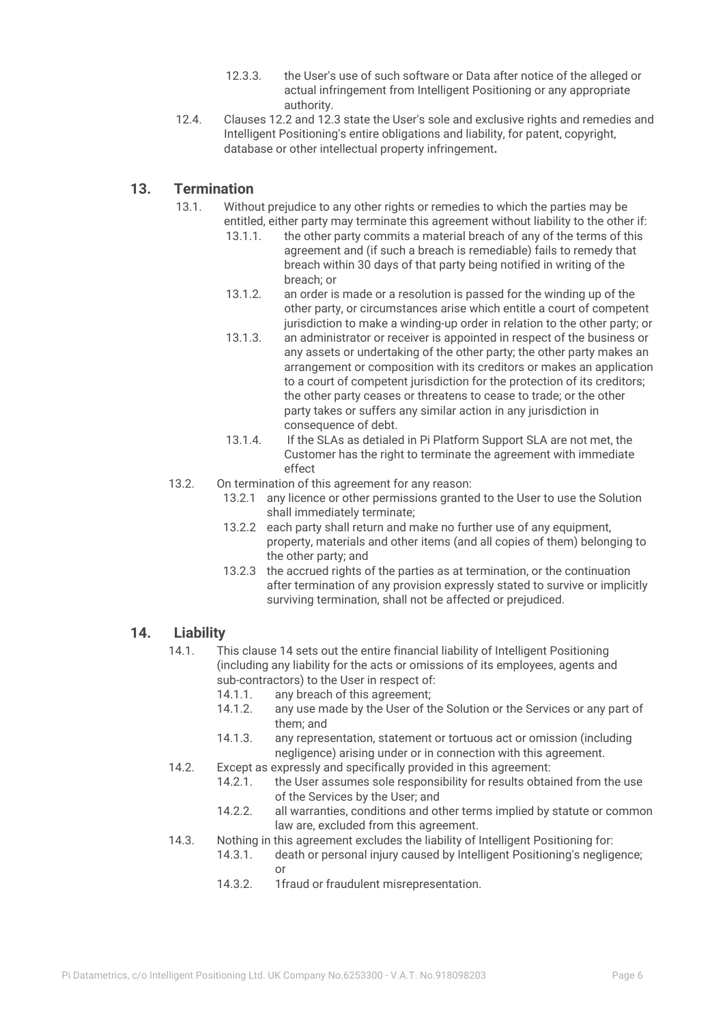- 12.3.3. the User's use of such software or Data after notice of the alleged or actual infringement from Intelligent Positioning or any appropriate authority.
- 12.4. Clauses 12.2 and 12.3 state the User's sole and exclusive rights and remedies and Intelligent Positioning's entire obligations and liability, for patent, copyright, database or other intellectual property infringement**.**

#### **13. Termination**

- 13.1. Without prejudice to any other rights or remedies to which the parties may be entitled, either party may terminate this agreement without liability to the other if:
	- 13.1.1. the other party commits a material breach of any of the terms of this agreement and (if such a breach is remediable) fails to remedy that breach within 30 days of that party being notified in writing of the breach; or
	- 13.1.2. an order is made or a resolution is passed for the winding up of the other party, or circumstances arise which entitle a court of competent jurisdiction to make a winding-up order in relation to the other party; or
	- 13.1.3. an administrator or receiver is appointed in respect of the business or any assets or undertaking of the other party; the other party makes an arrangement or composition with its creditors or makes an application to a court of competent jurisdiction for the protection of its creditors; the other party ceases or threatens to cease to trade; or the other party takes or suffers any similar action in any jurisdiction in consequence of debt.
	- 13.1.4. If the SLAs as detialed in Pi Platform Support SLA are not met, the Customer has the right to terminate the agreement with immediate effect
- 13.2. On termination of this agreement for any reason:
	- 13.2.1 any licence or other permissions granted to the User to use the Solution shall immediately terminate;
	- 13.2.2 each party shall return and make no further use of any equipment, property, materials and other items (and all copies of them) belonging to the other party; and
	- 13.2.3 the accrued rights of the parties as at termination, or the continuation after termination of any provision expressly stated to survive or implicitly surviving termination, shall not be affected or prejudiced.

#### **14. Liability**

- 14.1. This clause 14 sets out the entire financial liability of Intelligent Positioning (including any liability for the acts or omissions of its employees, agents and sub-contractors) to the User in respect of:<br>14.1.1. any breach of this agreement:
	- any breach of this agreement;
	- 14.1.2. any use made by the User of the Solution or the Services or any part of them; and
	- 14.1.3. any representation, statement or tortuous act or omission (including negligence) arising under or in connection with this agreement.
- 14.2. Except as expressly and specifically provided in this agreement:
	- 14.2.1. the User assumes sole responsibility for results obtained from the use of the Services by the User; and
		- 14.2.2. all warranties, conditions and other terms implied by statute or common law are, excluded from this agreement.
- 14.3. Nothing in this agreement excludes the liability of Intelligent Positioning for:
	- 14.3.1. death or personal injury caused by Intelligent Positioning's negligence; or
	- 14.3.2. 1fraud or fraudulent misrepresentation.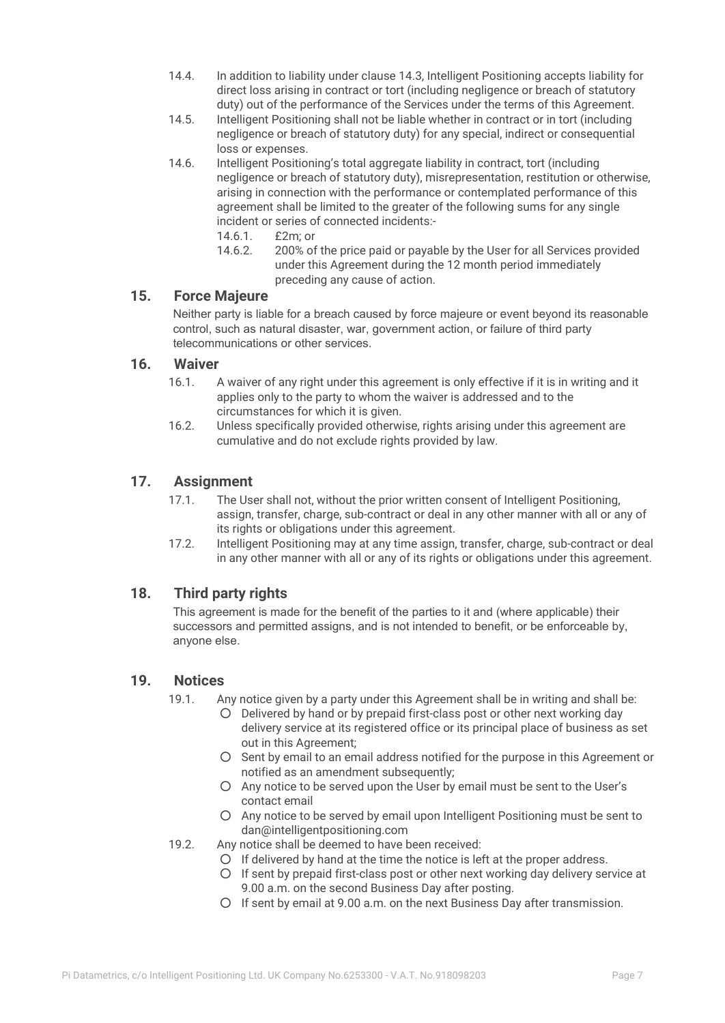- 14.4. In addition to liability under clause 14.3, Intelligent Positioning accepts liability for direct loss arising in contract or tort (including negligence or breach of statutory duty) out of the performance of the Services under the terms of this Agreement.
- 14.5. Intelligent Positioning shall not be liable whether in contract or in tort (including negligence or breach of statutory duty) for any special, indirect or consequential loss or expenses.
- 14.6. Intelligent Positioning's total aggregate liability in contract, tort (including negligence or breach of statutory duty), misrepresentation, restitution or otherwise, arising in connection with the performance or contemplated performance of this agreement shall be limited to the greater of the following sums for any single incident or series of connected incidents:-
	- 14.6.1. £2m; or
	- 14.6.2. 200% of the price paid or payable by the User for all Services provided under this Agreement during the 12 month period immediately preceding any cause of action.

#### **15. Force Majeure**

Neither party is liable for a breach caused by force majeure or event beyond its reasonable control, such as natural disaster, war, government action, or failure of third party telecommunications or other services.

#### **16. Waiver**

- 16.1. A waiver of any right under this agreement is only effective if it is in writing and it applies only to the party to whom the waiver is addressed and to the circumstances for which it is given.
- 16.2. Unless specifically provided otherwise, rights arising under this agreement are cumulative and do not exclude rights provided by law.

#### **17. Assignment**

- 17.1. The User shall not, without the prior written consent of Intelligent Positioning, assign, transfer, charge, sub-contract or deal in any other manner with all or any of its rights or obligations under this agreement.
- 17.2. Intelligent Positioning may at any time assign, transfer, charge, sub-contract or deal in any other manner with all or any of its rights or obligations under this agreement.

#### **18. Third party rights**

This agreement is made for the benefit of the parties to it and (where applicable) their successors and permitted assigns, and is not intended to benefit, or be enforceable by, anyone else.

#### **19. Notices**

- 19.1. Any notice given by a party under this Agreement shall be in writing and shall be:
	- Delivered by hand or by prepaid first-class post or other next working day delivery service at its registered office or its principal place of business as set out in this Agreement;
	- Sent by email to an email address notified for the purpose in this Agreement or notified as an amendment subsequently;
	- Any notice to be served upon the User by email must be sent to the User's contact email
	- Any notice to be served by email upon Intelligent Positioning must be sent to dan@intelligentpositioning.com
- 19.2. Any notice shall be deemed to have been received:
	- If delivered by hand at the time the notice is left at the proper address.
	- If sent by prepaid first-class post or other next working day delivery service at 9.00 a.m. on the second Business Day after posting.
	- If sent by email at 9.00 a.m. on the next Business Day after transmission.